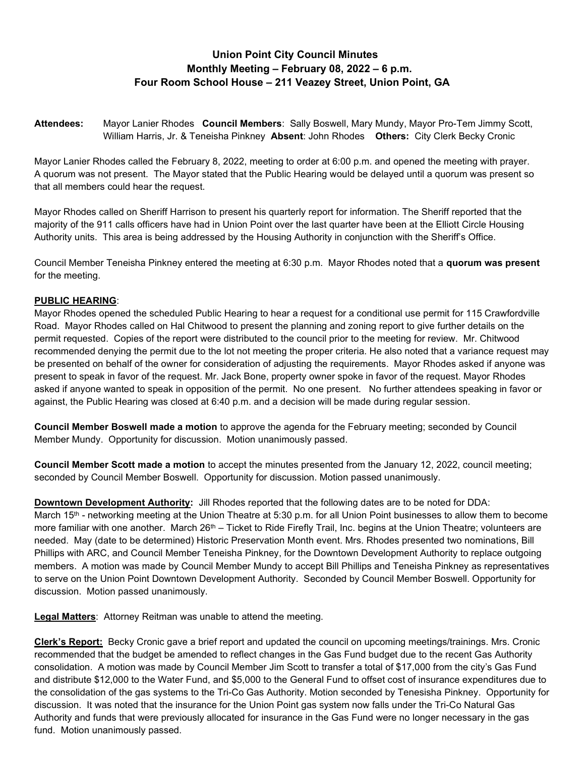## Union Point City Council Minutes Monthly Meeting – February 08, 2022 – 6 p.m. Four Room School House – 211 Veazey Street, Union Point, GA

Attendees: Mayor Lanier Rhodes Council Members: Sally Boswell, Mary Mundy, Mayor Pro-Tem Jimmy Scott, William Harris, Jr. & Teneisha Pinkney Absent: John Rhodes Others: City Clerk Becky Cronic

Mayor Lanier Rhodes called the February 8, 2022, meeting to order at 6:00 p.m. and opened the meeting with prayer. A quorum was not present. The Mayor stated that the Public Hearing would be delayed until a quorum was present so that all members could hear the request.

Mayor Rhodes called on Sheriff Harrison to present his quarterly report for information. The Sheriff reported that the majority of the 911 calls officers have had in Union Point over the last quarter have been at the Elliott Circle Housing Authority units. This area is being addressed by the Housing Authority in conjunction with the Sheriff's Office.

Council Member Teneisha Pinkney entered the meeting at 6:30 p.m. Mayor Rhodes noted that a quorum was present for the meeting.

## PUBLIC HEARING:

Mayor Rhodes opened the scheduled Public Hearing to hear a request for a conditional use permit for 115 Crawfordville Road. Mayor Rhodes called on Hal Chitwood to present the planning and zoning report to give further details on the permit requested. Copies of the report were distributed to the council prior to the meeting for review. Mr. Chitwood recommended denying the permit due to the lot not meeting the proper criteria. He also noted that a variance request may be presented on behalf of the owner for consideration of adjusting the requirements. Mayor Rhodes asked if anyone was present to speak in favor of the request. Mr. Jack Bone, property owner spoke in favor of the request. Mayor Rhodes asked if anyone wanted to speak in opposition of the permit. No one present. No further attendees speaking in favor or against, the Public Hearing was closed at 6:40 p.m. and a decision will be made during regular session.

Council Member Boswell made a motion to approve the agenda for the February meeting; seconded by Council Member Mundy. Opportunity for discussion. Motion unanimously passed.

Council Member Scott made a motion to accept the minutes presented from the January 12, 2022, council meeting; seconded by Council Member Boswell. Opportunity for discussion. Motion passed unanimously.

Downtown Development Authority: Jill Rhodes reported that the following dates are to be noted for DDA: March 15<sup>th</sup> - networking meeting at the Union Theatre at 5:30 p.m. for all Union Point businesses to allow them to become more familiar with one another. March 26<sup>th</sup> – Ticket to Ride Firefly Trail, Inc. begins at the Union Theatre; volunteers are needed. May (date to be determined) Historic Preservation Month event. Mrs. Rhodes presented two nominations, Bill Phillips with ARC, and Council Member Teneisha Pinkney, for the Downtown Development Authority to replace outgoing members. A motion was made by Council Member Mundy to accept Bill Phillips and Teneisha Pinkney as representatives to serve on the Union Point Downtown Development Authority. Seconded by Council Member Boswell. Opportunity for discussion. Motion passed unanimously.

Legal Matters: Attorney Reitman was unable to attend the meeting.

Clerk's Report: Becky Cronic gave a brief report and updated the council on upcoming meetings/trainings. Mrs. Cronic recommended that the budget be amended to reflect changes in the Gas Fund budget due to the recent Gas Authority consolidation. A motion was made by Council Member Jim Scott to transfer a total of \$17,000 from the city's Gas Fund and distribute \$12,000 to the Water Fund, and \$5,000 to the General Fund to offset cost of insurance expenditures due to the consolidation of the gas systems to the Tri-Co Gas Authority. Motion seconded by Tenesisha Pinkney. Opportunity for discussion. It was noted that the insurance for the Union Point gas system now falls under the Tri-Co Natural Gas Authority and funds that were previously allocated for insurance in the Gas Fund were no longer necessary in the gas fund. Motion unanimously passed.